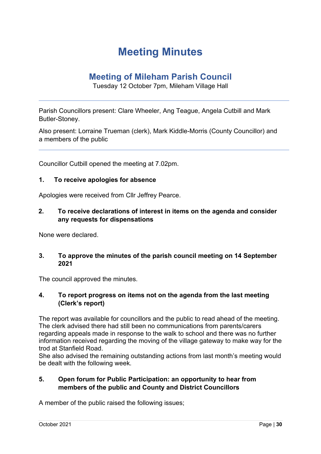# **Meeting Minutes**

# **Meeting of Mileham Parish Council**

Tuesday 12 October 7pm, Mileham Village Hall

Parish Councillors present: Clare Wheeler, Ang Teague, Angela Cutbill and Mark Butler-Stoney.

Also present: Lorraine Trueman (clerk), Mark Kiddle-Morris (County Councillor) and a members of the public

Councillor Cutbill opened the meeting at 7.02pm.

#### **1. To receive apologies for absence**

Apologies were received from Cllr Jeffrey Pearce.

#### **2. To receive declarations of interest in items on the agenda and consider any requests for dispensations**

None were declared.

#### **3. To approve the minutes of the parish council meeting on 14 September 2021**

The council approved the minutes.

#### **4. To report progress on items not on the agenda from the last meeting (Clerk's report)**

The report was available for councillors and the public to read ahead of the meeting. The clerk advised there had still been no communications from parents/carers regarding appeals made in response to the walk to school and there was no further information received regarding the moving of the village gateway to make way for the trod at Stanfield Road.

She also advised the remaining outstanding actions from last month's meeting would be dealt with the following week.

#### **5. Open forum for Public Participation: an opportunity to hear from members of the public and County and District Councillors**

A member of the public raised the following issues;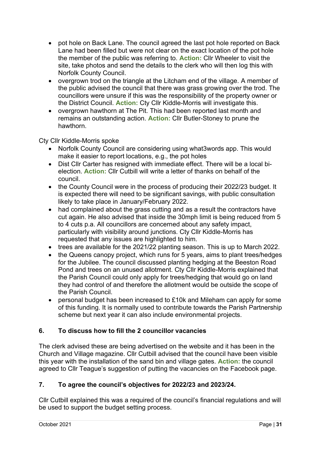- pot hole on Back Lane. The council agreed the last pot hole reported on Back Lane had been filled but were not clear on the exact location of the pot hole the member of the public was referring to. **Action:** Cllr Wheeler to visit the site, take photos and send the details to the clerk who will then log this with Norfolk County Council.
- overgrown trod on the triangle at the Litcham end of the village. A member of the public advised the council that there was grass growing over the trod. The councillors were unsure if this was the responsibility of the property owner or the District Council. **Action:** Cty Cllr Kiddle-Morris will investigate this.
- overgrown hawthorn at The Pit. This had been reported last month and remains an outstanding action. **Action:** Cllr Butler-Stoney to prune the hawthorn.

Cty Cllr Kiddle-Morris spoke

- Norfolk County Council are considering using what3words app. This would make it easier to report locations, e.g., the pot holes
- Dist Cllr Carter has resigned with immediate effect. There will be a local bielection. **Action:** Cllr Cutbill will write a letter of thanks on behalf of the council.
- the County Council were in the process of producing their 2022/23 budget. It is expected there will need to be significant savings, with public consultation likely to take place in January/February 2022.
- had complained about the grass cutting and as a result the contractors have cut again. He also advised that inside the 30mph limit is being reduced from 5 to 4 cuts p.a. All councillors are concerned about any safety impact, particularly with visibility around junctions. Cty Cllr Kiddle-Morris has requested that any issues are highlighted to him.
- trees are available for the 2021/22 planting season. This is up to March 2022.
- the Queens canopy project, which runs for 5 years, aims to plant trees/hedges for the Jubilee. The council discussed planting hedging at the Beeston Road Pond and trees on an unused allotment. Cty Cllr Kiddle-Morris explained that the Parish Council could only apply for trees/hedging that would go on land they had control of and therefore the allotment would be outside the scope of the Parish Council.
- personal budget has been increased to £10k and Mileham can apply for some of this funding. It is normally used to contribute towards the Parish Partnership scheme but next year it can also include environmental projects.

# **6. To discuss how to fill the 2 councillor vacancies**

The clerk advised these are being advertised on the website and it has been in the Church and Village magazine. Cllr Cutbill advised that the council have been visible this year with the installation of the sand bin and village gates. **Action:** the council agreed to Cllr Teague's suggestion of putting the vacancies on the Facebook page.

# **7. To agree the council's objectives for 2022/23 and 2023/24.**

Cllr Cutbill explained this was a required of the council's financial regulations and will be used to support the budget setting process.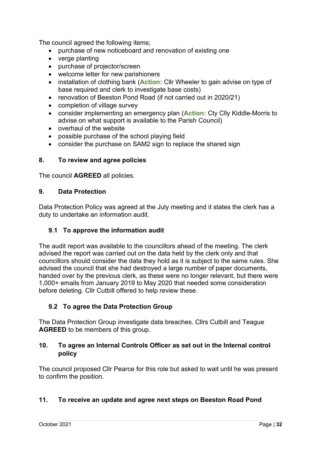The council agreed the following items;

- purchase of new noticeboard and renovation of existing one
- verge planting
- purchase of projector/screen
- welcome letter for new parishioners
- installation of clothing bank (**Action:** Cllr Wheeler to gain advise on type of base required and clerk to investigate base costs)
- renovation of Beeston Pond Road (if not carried out in 2020/21)
- completion of village survey
- consider implementing an emergency plan (**Action:** Cty Clly Kiddle-Morris to advise on what support is available to the Parish Council)
- overhaul of the website
- possible purchase of the school playing field
- consider the purchase on SAM2 sign to replace the shared sign

# **8. To review and agree policies**

The council **AGREED** all policies.

#### **9. Data Protection**

Data Protection Policy was agreed at the July meeting and it states the clerk has a duty to undertake an information audit.

# **9.1 To approve the information audit**

The audit report was available to the councillors ahead of the meeting. The clerk advised the report was carried out on the data held by the clerk only and that councillors should consider the data they hold as it is subject to the same rules. She advised the council that she had destroyed a large number of paper documents, handed over by the previous clerk, as these were no longer relevant, but there were 1,000+ emails from January 2019 to May 2020 that needed some consideration before deleting. Cllr Cutbill offered to help review these.

# **9.2 To agree the Data Protection Group**

The Data Protection Group investigate data breaches. Cllrs Cutbill and Teague **AGREED** to be members of this group.

# **10. To agree an Internal Controls Officer as set out in the Internal control policy**

The council proposed Cllr Pearce for this role but asked to wait until he was present to confirm the position.

# **11. To receive an update and agree next steps on Beeston Road Pond**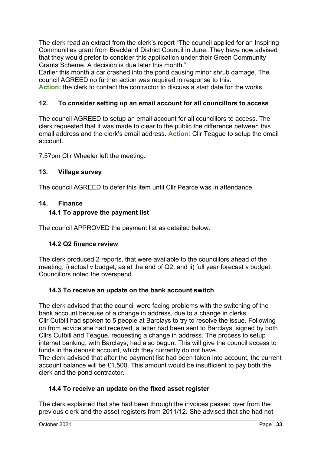The clerk read an extract from the clerk's report "The council applied for an Inspiring Communities grant from Breckland District Council in June. They have now advised that they would prefer to consider this application under their Green Community Grants Scheme. A decision is due later this month."

Earlier this month a car crashed into the pond causing minor shrub damage. The council AGREED no further action was required in response to this.

**Action:** the clerk to contact the contractor to discuss a start date for the works.

# **12. To consider setting up an email account for all councillors to access**

The council AGREED to setup an email account for all councillors to access. The clerk requested that it was made to clear to the public the difference between this email address and the clerk's email address. **Action:** Cllr Teague to setup the email account.

7.57pm Cllr Wheeler left the meeting.

# **13. Village survey**

The council AGREED to defer this item until Cllr Pearce was in attendance.

#### **14. Finance**

#### **14.1 To approve the payment list**

The council APPROVED the payment list as detailed below.

# **14.2 Q2 finance review**

The clerk produced 2 reports, that were available to the councillors ahead of the meeting, i) actual v budget, as at the end of Q2, and ii) full year forecast v budget. Councillors noted the overspend.

# **14.3 To receive an update on the bank account switch**

The clerk advised that the council were facing problems with the switching of the bank account because of a change in address, due to a change in clerks. Cllr Cutbill had spoken to 5 people at Barclays to try to resolve the issue. Following on from advice she had received, a letter had been sent to Barclays, signed by both Cllrs Cutbill and Teague, requesting a change in address. The process to setup internet banking, with Barclays, had also begun. This will give the council access to funds in the deposit account, which they currently do not have.

The clerk advised that after the payment list had been taken into account, the current account balance will be £1,500. This amount would be insufficient to pay both the clerk and the pond contractor.

# **14.4 To receive an update on the fixed asset register**

The clerk explained that she had been through the invoices passed over from the previous clerk and the asset registers from 2011/12. She advised that she had not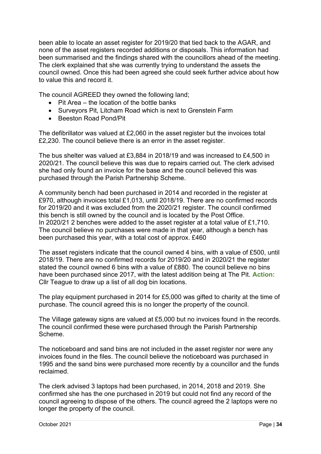been able to locate an asset register for 2019/20 that tied back to the AGAR, and none of the asset registers recorded additions or disposals. This information had been summarised and the findings shared with the councillors ahead of the meeting. The clerk explained that she was currently trying to understand the assets the council owned. Once this had been agreed she could seek further advice about how to value this and record it.

The council AGREED they owned the following land;

- Pit Area the location of the bottle banks
- Surveyors Pit, Litcham Road which is next to Grenstein Farm
- Beeston Road Pond/Pit

The defibrillator was valued at £2,060 in the asset register but the invoices total £2,230. The council believe there is an error in the asset register.

The bus shelter was valued at £3,884 in 2018/19 and was increased to £4,500 in 2020/21. The council believe this was due to repairs carried out. The clerk advised she had only found an invoice for the base and the council believed this was purchased through the Parish Partnership Scheme.

A community bench had been purchased in 2014 and recorded in the register at £970, although invoices total £1,013, until 2018/19. There are no confirmed records for 2019/20 and it was excluded from the 2020/21 register. The council confirmed this bench is still owned by the council and is located by the Post Office. In 2020/21 2 benches were added to the asset register at a total value of £1,710. The council believe no purchases were made in that year, although a bench has been purchased this year, with a total cost of approx. £460

The asset registers indicate that the council owned 4 bins, with a value of £500, until 2018/19. There are no confirmed records for 2019/20 and in 2020/21 the register stated the council owned 6 bins with a value of £880. The council believe no bins have been purchased since 2017, with the latest addition being at The Pit. **Action:**  Cllr Teague to draw up a list of all dog bin locations.

The play equipment purchased in 2014 for £5,000 was gifted to charity at the time of purchase. The council agreed this is no longer the property of the council.

The Village gateway signs are valued at £5,000 but no invoices found in the records. The council confirmed these were purchased through the Parish Partnership Scheme.

The noticeboard and sand bins are not included in the asset register nor were any invoices found in the files. The council believe the noticeboard was purchased in 1995 and the sand bins were purchased more recently by a councillor and the funds reclaimed.

The clerk advised 3 laptops had been purchased, in 2014, 2018 and 2019. She confirmed she has the one purchased in 2019 but could not find any record of the council agreeing to dispose of the others. The council agreed the 2 laptops were no longer the property of the council.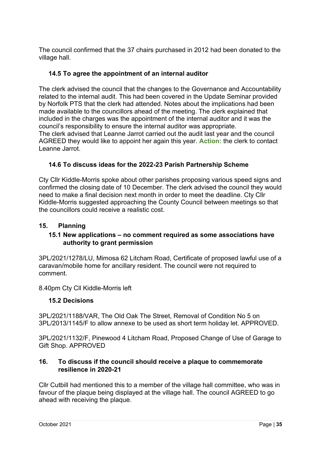The council confirmed that the 37 chairs purchased in 2012 had been donated to the village hall.

# **14.5 To agree the appointment of an internal auditor**

The clerk advised the council that the changes to the Governance and Accountability related to the internal audit. This had been covered in the Update Seminar provided by Norfolk PTS that the clerk had attended. Notes about the implications had been made available to the councillors ahead of the meeting. The clerk explained that included in the charges was the appointment of the internal auditor and it was the council's responsibility to ensure the internal auditor was appropriate. The clerk advised that Leanne Jarrot carried out the audit last year and the council AGREED they would like to appoint her again this year. **Action:** the clerk to contact Leanne Jarrot.

# **14.6 To discuss ideas for the 2022-23 Parish Partnership Scheme**

Cty Cllr Kiddle-Morris spoke about other parishes proposing various speed signs and confirmed the closing date of 10 December. The clerk advised the council they would need to make a final decision next month in order to meet the deadline. Cty Cllr Kiddle-Morris suggested approaching the County Council between meetings so that the councillors could receive a realistic cost.

#### **15. Planning**

#### **15.1 New applications – no comment required as some associations have authority to grant permission**

3PL/2021/1278/LU, Mimosa 62 Litcham Road, Certificate of proposed lawful use of a caravan/mobile home for ancillary resident. The council were not required to comment.

8.40pm Cty Cll Kiddle-Morris left

#### **15.2 Decisions**

3PL/2021/1188/VAR, The Old Oak The Street, Removal of Condition No 5 on 3PL/2013/1145/F to allow annexe to be used as short term holiday let. APPROVED.

3PL/2021/1132/F, Pinewood 4 Litcham Road, Proposed Change of Use of Garage to Gift Shop. APPROVED

#### **16. To discuss if the council should receive a plaque to commemorate resilience in 2020-21**

Cllr Cutbill had mentioned this to a member of the village hall committee, who was in favour of the plaque being displayed at the village hall. The council AGREED to go ahead with receiving the plaque.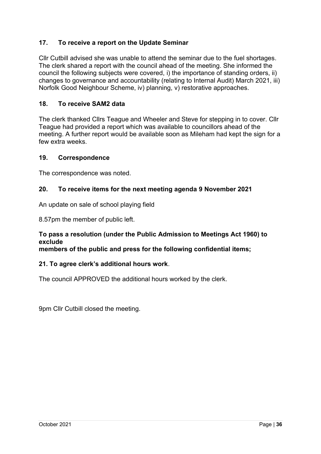# **17. To receive a report on the Update Seminar**

Cllr Cutbill advised she was unable to attend the seminar due to the fuel shortages. The clerk shared a report with the council ahead of the meeting. She informed the council the following subjects were covered, i) the importance of standing orders, ii) changes to governance and accountability (relating to Internal Audit) March 2021, iii) Norfolk Good Neighbour Scheme, iv) planning, v) restorative approaches.

#### **18. To receive SAM2 data**

The clerk thanked Cllrs Teague and Wheeler and Steve for stepping in to cover. Cllr Teague had provided a report which was available to councillors ahead of the meeting. A further report would be available soon as Mileham had kept the sign for a few extra weeks.

#### **19. Correspondence**

The correspondence was noted.

#### **20. To receive items for the next meeting agenda 9 November 2021**

An update on sale of school playing field

8.57pm the member of public left.

# **To pass a resolution (under the Public Admission to Meetings Act 1960) to exclude**

**members of the public and press for the following confidential items;**

#### **21. To agree clerk's additional hours work**.

The council APPROVED the additional hours worked by the clerk.

9pm Cllr Cutbill closed the meeting.